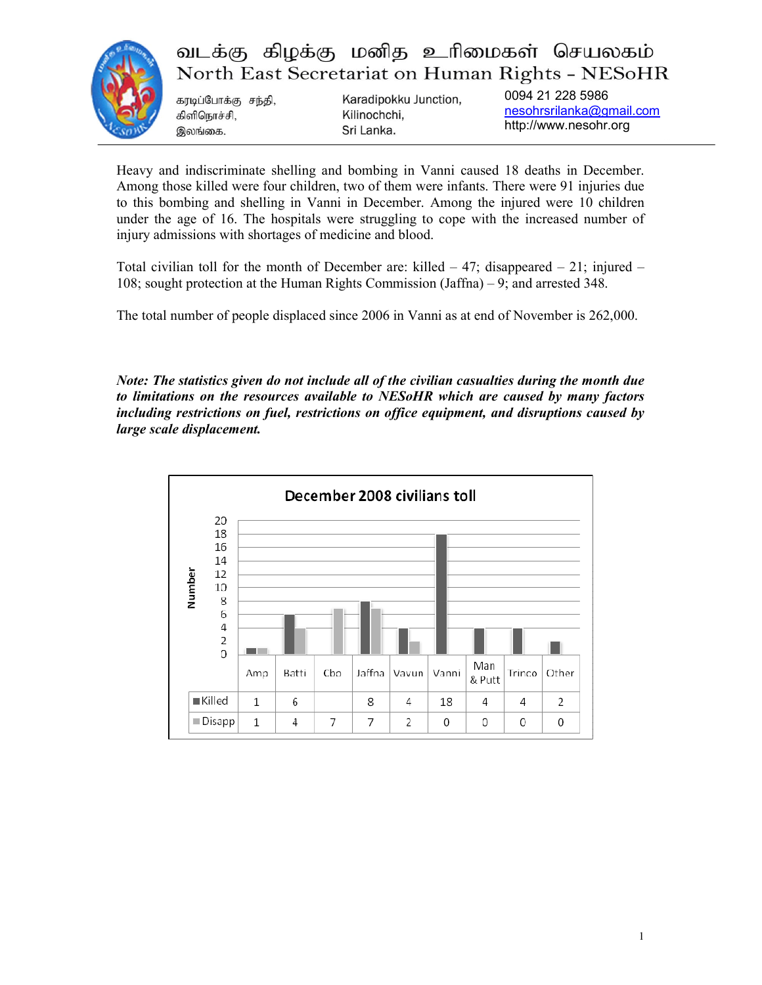

## வடக்கு கிழக்கு மனித உரிமைகள் செயலகம் North East Secretariat on Human Rights - NESoHR

கரடிப்போக்கு சந்தி, Human Rights Report for December 2008

Karadipokku Junction,

0094 21 228 5986 nesohrsrilanka@gmail.com http://www.nesohr.org

Heavy and indiscriminate shelling and bombing in Vanni caused 18 deaths in December. Among those killed were four children, two of them were infants. There were 91 injuries due to this bombing and shelling in Vanni in December. Among the injured were 10 children under the age of 16. The hospitals were struggling to cope with the increased number of injury admissions with shortages of medicine and blood.

Total civilian toll for the month of December are: killed  $-47$ ; disappeared  $-21$ ; injured  $-$ 108; sought protection at the Human Rights Commission (Jaffna) – 9; and arrested 348.

The total number of people displaced since 2006 in Vanni as at end of November is 262,000.

Note: The statistics given do not include all of the civilian casualties during the month due to limitations on the resources available to NESoHR which are caused by many factors including restrictions on fuel, restrictions on office equipment, and disruptions caused by large scale displacement.

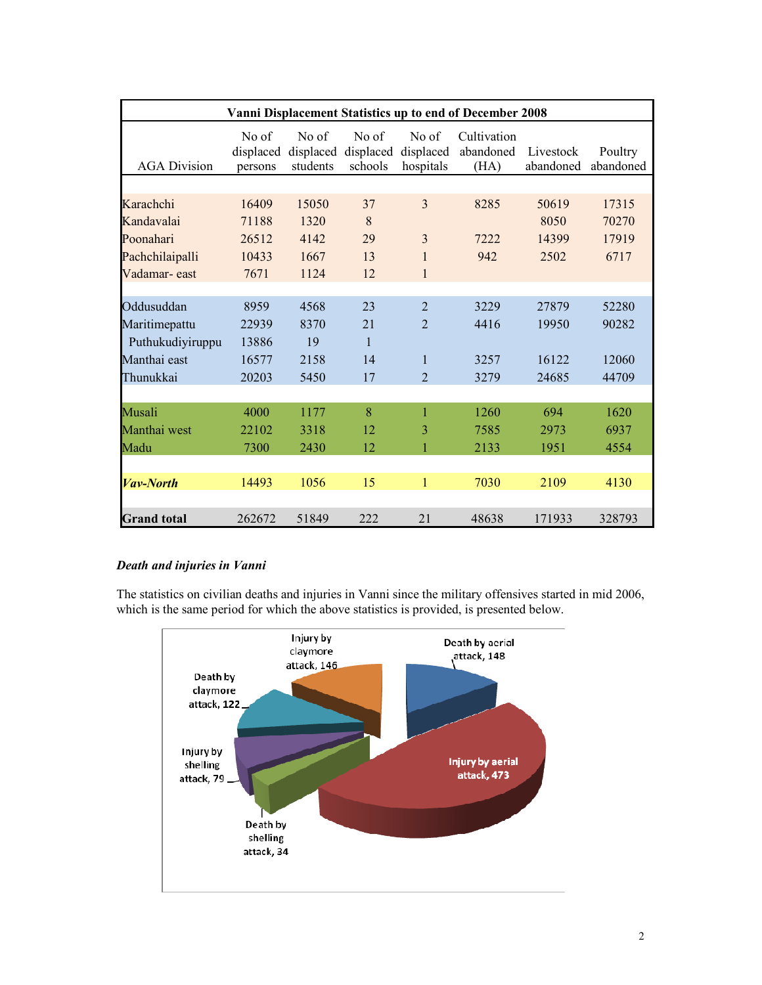| Vanni Displacement Statistics up to end of December 2008 |                               |                                |                               |                                 |                                  |                        |                      |  |  |
|----------------------------------------------------------|-------------------------------|--------------------------------|-------------------------------|---------------------------------|----------------------------------|------------------------|----------------------|--|--|
| <b>AGA Division</b>                                      | No of<br>displaced<br>persons | No of<br>displaced<br>students | No of<br>displaced<br>schools | No of<br>displaced<br>hospitals | Cultivation<br>abandoned<br>(HA) | Livestock<br>abandoned | Poultry<br>abandoned |  |  |
|                                                          |                               |                                |                               |                                 |                                  |                        |                      |  |  |
| Karachchi                                                | 16409                         | 15050                          | 37                            | $\overline{3}$                  | 8285                             | 50619                  | 17315                |  |  |
| Kandavalai                                               | 71188                         | 1320                           | 8                             |                                 |                                  | 8050                   | 70270                |  |  |
| Poonahari                                                | 26512                         | 4142                           | 29                            | 3                               | 7222                             | 14399                  | 17919                |  |  |
| Pachchilaipalli                                          | 10433                         | 1667                           | 13                            | 1                               | 942                              | 2502                   | 6717                 |  |  |
| Vadamar-east                                             | 7671                          | 1124                           | 12                            | $\mathbf{1}$                    |                                  |                        |                      |  |  |
|                                                          |                               |                                |                               |                                 |                                  |                        |                      |  |  |
| Oddusuddan                                               | 8959                          | 4568                           | 23                            | $\overline{2}$                  | 3229                             | 27879                  | 52280                |  |  |
| Maritimepattu                                            | 22939                         | 8370                           | 21                            | $\overline{2}$                  | 4416                             | 19950                  | 90282                |  |  |
| Puthukudiyiruppu                                         | 13886                         | 19                             | $\mathbf{1}$                  |                                 |                                  |                        |                      |  |  |
| Manthai east                                             | 16577                         | 2158                           | 14                            | 1                               | 3257                             | 16122                  | 12060                |  |  |
| Thunukkai                                                | 20203                         | 5450                           | 17                            | $\overline{2}$                  | 3279                             | 24685                  | 44709                |  |  |
|                                                          |                               |                                |                               |                                 |                                  |                        |                      |  |  |
| Musali                                                   | 4000                          | 1177                           | 8                             | $\mathbf{1}$                    | 1260                             | 694                    | 1620                 |  |  |
| Manthai west                                             | 22102                         | 3318                           | 12                            | 3                               | 7585                             | 2973                   | 6937                 |  |  |
| Madu                                                     | 7300                          | 2430                           | 12                            | $\mathbf{1}$                    | 2133                             | 1951                   | 4554                 |  |  |
|                                                          |                               |                                |                               |                                 |                                  |                        |                      |  |  |
| <b>Vav-North</b>                                         | 14493                         | 1056                           | 15                            | $\mathbf{1}$                    | 7030                             | 2109                   | 4130                 |  |  |
|                                                          |                               |                                |                               |                                 |                                  |                        |                      |  |  |
| <b>Grand</b> total                                       | 262672                        | 51849                          | 222                           | 21                              | 48638                            | 171933                 | 328793               |  |  |

## Death and injuries in Vanni

The statistics on civilian deaths and injuries in Vanni since the military offensives started in mid 2006, which is the same period for which the above statistics is provided, is presented below.

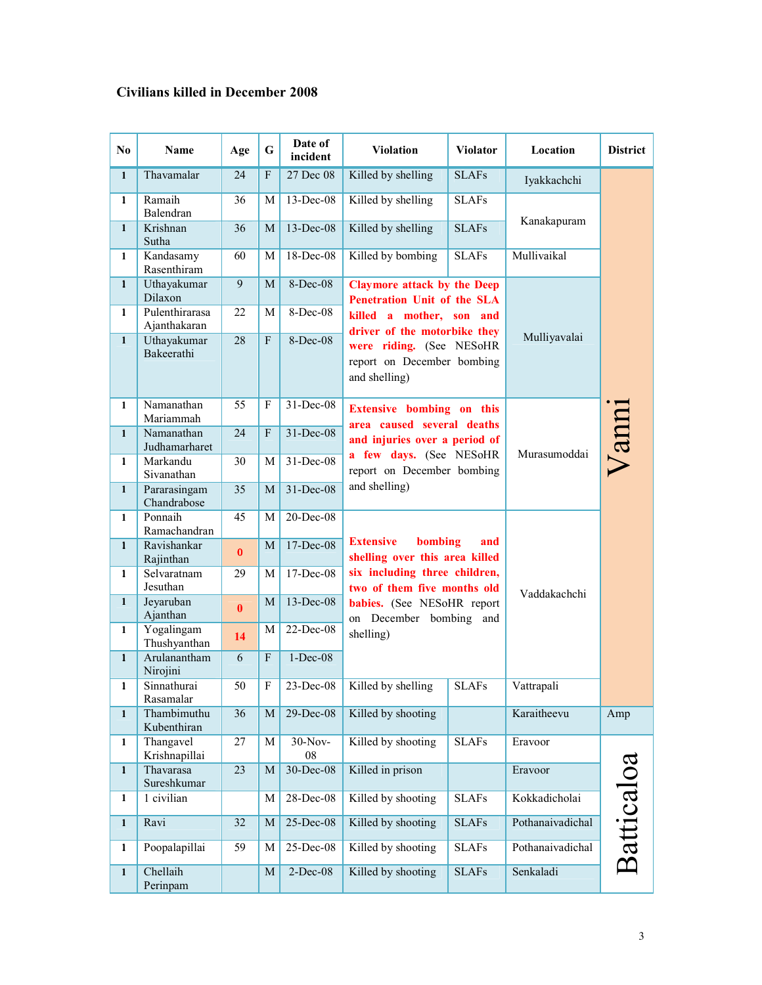## Civilians killed in December 2008

| N <sub>0</sub> | <b>Name</b>                    | Age          | $\mathbf G$               | Date of<br>incident | <b>Violation</b>                                                        | <b>Violator</b> | Location         | <b>District</b> |
|----------------|--------------------------------|--------------|---------------------------|---------------------|-------------------------------------------------------------------------|-----------------|------------------|-----------------|
| $\mathbf{1}$   | Thavamalar                     | 24           | $\boldsymbol{\mathrm{F}}$ | 27 Dec 08           | Killed by shelling                                                      | <b>SLAFs</b>    | Iyakkachchi      |                 |
| $\mathbf{1}$   | Ramaih<br>Balendran            | 36           | M                         | 13-Dec-08           | Killed by shelling                                                      |                 |                  |                 |
| $\mathbf{1}$   | Krishnan<br>Sutha              | 36           | M                         | 13-Dec-08           | Killed by shelling                                                      | <b>SLAFs</b>    | Kanakapuram      |                 |
| $\mathbf{1}$   | Kandasamy<br>Rasenthiram       | 60           | M                         | 18-Dec-08           | Killed by bombing                                                       | <b>SLAFs</b>    | Mullivaikal      |                 |
| $\mathbf{1}$   | Uthayakumar<br>Dilaxon         | 9            | M                         | 8-Dec-08            | <b>Claymore attack by the Deep</b><br>Penetration Unit of the SLA       |                 | Mulliyavalai     |                 |
| $\mathbf{1}$   | Pulenthirarasa<br>Ajanthakaran | 22           | M                         | 8-Dec-08            | killed a mother, son and<br>driver of the motorbike they                |                 |                  |                 |
| $\mathbf{1}$   | Uthayakumar<br>Bakeerathi      | 28           | $\overline{F}$            | 8-Dec-08            | were riding. (See NESoHR<br>report on December bombing<br>and shelling) |                 |                  |                 |
| $\mathbf{1}$   | Namanathan<br>Mariammah        | 55           | F                         | 31-Dec-08           | <b>Extensive bombing on this</b><br>area caused several deaths          |                 |                  |                 |
| $\mathbf{1}$   | Namanathan<br>Judhamarharet    | 24           | F                         | $31 - Dec-08$       | and injuries over a period of                                           |                 | Murasumoddai     | Vanni           |
| $\mathbf{1}$   | Markandu<br>Sivanathan         | 30           | M                         | $31 - Dec-08$       | a few days. (See NESoHR<br>report on December bombing                   |                 |                  |                 |
| $\mathbf{1}$   | Pararasingam<br>Chandrabose    | 35           | M                         | $31 - Dec-08$       | and shelling)                                                           |                 |                  |                 |
| $\mathbf{1}$   | Ponnaih<br>Ramachandran        | 45           | M                         | 20-Dec-08           |                                                                         |                 | Vaddakachchi     |                 |
| $\mathbf{1}$   | Ravishankar<br>Rajinthan       | $\mathbf{0}$ | M                         | $17 - Dec-08$       | <b>Extensive</b><br>bombing<br>shelling over this area killed           | and             |                  |                 |
| $\mathbf{1}$   | Selvaratnam<br>Jesuthan        | 29           | M                         | 17-Dec-08           | six including three children,<br>two of them five months old            |                 |                  |                 |
| $\mathbf{1}$   | Jeyaruban<br>Ajanthan          | $\bf{0}$     | M                         | 13-Dec-08           | babies. (See NESoHR report<br>on December bombing and                   |                 |                  |                 |
| $\mathbf{1}$   | Yogalingam<br>Thushyanthan     | 14           | M                         | 22-Dec-08           | shelling)                                                               |                 |                  |                 |
| $\mathbf{1}$   | Arulanantham<br>Nirojini       | 6            | $\mathbf F$               | $1-Dec-08$          |                                                                         |                 |                  |                 |
| $\mathbf{1}$   | Sinnathurai<br>Rasamalar       | 50           | F                         | $23$ -Dec-08        | Killed by shelling                                                      | <b>SLAFs</b>    | Vattrapali       |                 |
| $\mathbf{1}$   | Thambimuthu<br>Kubenthiran     | 36           | $\mathbf M$               | $29$ -Dec-08        | Killed by shooting                                                      |                 | Karaitheevu      | Amp             |
| 1              | Thangavel<br>Krishnapillai     | 27           | М                         | 30-Nov-<br>08       | Killed by shooting                                                      | <b>SLAFs</b>    | Eravoor          |                 |
| $\mathbf{1}$   | Thavarasa<br>Sureshkumar       | 23           | M                         | 30-Dec-08           | Killed in prison                                                        |                 | Eravoor          |                 |
| $\mathbf{1}$   | 1 civilian                     |              | М                         | 28-Dec-08           | Killed by shooting                                                      | <b>SLAFs</b>    | Kokkadicholai    | Batticaloa      |
| $\mathbf{1}$   | Ravi                           | 32           | M                         | 25-Dec-08           | Killed by shooting                                                      | <b>SLAFs</b>    | Pothanaivadichal |                 |
| 1              | Poopalapillai                  | 59           | M                         | 25-Dec-08           | Killed by shooting                                                      | <b>SLAFs</b>    | Pothanaivadichal |                 |
| $\mathbf{1}$   | Chellaih<br>Perinpam           |              | M                         | 2-Dec-08            | Killed by shooting                                                      | <b>SLAFs</b>    | Senkaladi        |                 |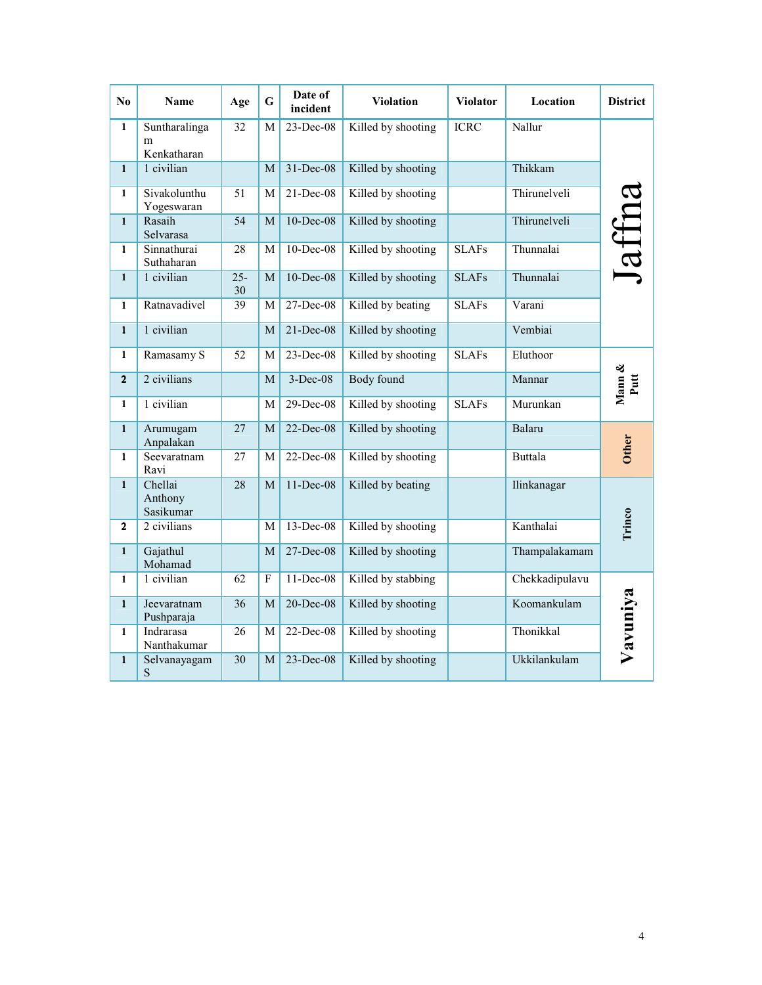| N <sub>0</sub> | <b>Name</b>                       | Age             | $\mathbf G$ | Date of<br>incident | <b>Violation</b>   | <b>Violator</b> | Location       | <b>District</b> |
|----------------|-----------------------------------|-----------------|-------------|---------------------|--------------------|-----------------|----------------|-----------------|
| $\mathbf{1}$   | Suntharalinga<br>m<br>Kenkatharan | $\overline{32}$ | М           | $23 - Dec-08$       | Killed by shooting | <b>ICRC</b>     | Nallur         |                 |
| $\mathbf{1}$   | 1 civilian                        |                 | M           | $31 - Dec-08$       | Killed by shooting |                 | Thikkam        |                 |
| $\mathbf{1}$   | Sivakolunthu<br>Yogeswaran        | 51              | M           | 21-Dec-08           | Killed by shooting |                 | Thirunelveli   |                 |
| $\mathbf{1}$   | Rasaih<br>Selvarasa               | 54              | M           | 10-Dec-08           | Killed by shooting |                 | Thirunelveli   |                 |
| $\mathbf{1}$   | Sinnathurai<br>Suthaharan         | 28              | M           | $10$ -Dec-08        | Killed by shooting | <b>SLAFs</b>    | Thunnalai      | Jaffna          |
| $\mathbf{1}$   | 1 civilian                        | $25 -$<br>30    | M           | $10$ -Dec-08        | Killed by shooting | <b>SLAFs</b>    | Thunnalai      |                 |
| $\mathbf{1}$   | Ratnavadivel                      | 39              | M           | 27-Dec-08           | Killed by beating  | <b>SLAFs</b>    | Varani         |                 |
| $\mathbf{1}$   | 1 civilian                        |                 | M           | $21 - Dec-08$       | Killed by shooting |                 | Vembiai        |                 |
| 1              | Ramasamy S                        | 52              | M           | $23 - Dec-08$       | Killed by shooting | <b>SLAFs</b>    | Eluthoor       |                 |
| $\mathbf{2}$   | 2 civilians                       |                 | M           | $3-Dec-08$          | <b>Body</b> found  |                 | Mannar         | Mann &<br>Putt  |
| $\mathbf{1}$   | 1 civilian                        |                 | M           | 29-Dec-08           | Killed by shooting | <b>SLAFs</b>    | Murunkan       |                 |
| $\mathbf{1}$   | Arumugam<br>Anpalakan             | 27              | M           | 22-Dec-08           | Killed by shooting |                 | Balaru         | <b>Other</b>    |
| $\mathbf{1}$   | Seevaratnam<br>Ravi               | 27              | M           | 22-Dec-08           | Killed by shooting |                 | <b>Buttala</b> |                 |
| $\mathbf{1}$   | Chellai<br>Anthony<br>Sasikumar   | $\overline{28}$ | M           | $11 - Dec-08$       | Killed by beating  |                 | Ilinkanagar    |                 |
| $\overline{2}$ | 2 civilians                       |                 | M           | 13-Dec-08           | Killed by shooting |                 | Kanthalai      | Trinco          |
| $\mathbf{1}$   | Gajathul<br>Mohamad               |                 | M           | 27-Dec-08           | Killed by shooting |                 | Thampalakamam  |                 |
| $\mathbf{1}$   | 1 civilian                        | 62              | F           | $11 - Dec-08$       | Killed by stabbing |                 | Chekkadipulavu |                 |
| $\mathbf{1}$   | Jeevaratnam<br>Pushparaja         | 36              | M           | 20-Dec-08           | Killed by shooting |                 | Koomankulam    | Vavuniya        |
| $\mathbf{1}$   | Indrarasa<br>Nanthakumar          | 26              | M           | 22-Dec-08           | Killed by shooting |                 | Thonikkal      |                 |
| $\mathbf{1}$   | Selvanayagam<br>S                 | 30              | M           | $23$ -Dec-08        | Killed by shooting |                 | Ukkilankulam   |                 |